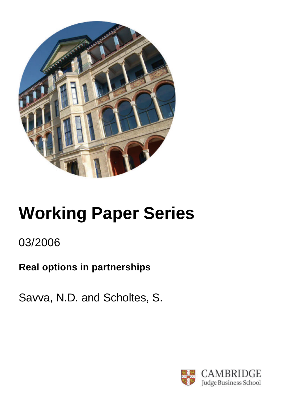

# **Working Paper Series**

# 03/2006

# **Real options in partnerships**

Savva, N.D. and Scholtes, S.

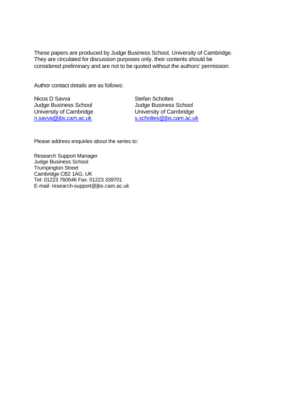These papers are produced by Judge Business School, University of Cambridge. They are circulated for discussion purposes only, their contents should be considered preliminary and are not to be quoted without the authors' permission.

Author contact details are as follows:

Nicos D Savva Judge Business School University of Cambridge n.savva@jbs.cam.ac.uk

Stefan Scholtes Judge Business School University of Cambridge s.scholtes@jbs.cam.ac.uk

Please address enquiries about the series to:

Research Support Manager Judge Business School Trumpington Street Cambridge CB2 1AG, UK Tel: 01223 760546 Fax: 01223 339701 E-mail: research-support@jbs.cam.ac.uk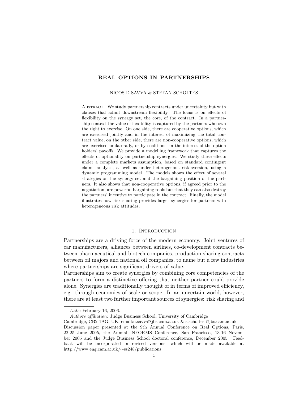# REAL OPTIONS IN PARTNERSHIPS

#### NICOS D SAVVA & STEFAN SCHOLTES

Abstract. We study partnership contracts under uncertainty but with clauses that admit downstream flexibility. The focus is on effects of flexibility on the synergy set, the core, of the contract. In a partnership context the value of flexibility is captured by the partners who own the right to exercise. On one side, there are cooperative options, which are exercised jointly and in the interest of maximizing the total contract value, on the other side, there are non-cooperative options, which are exercised unilaterally, or by coalitions, in the interest of the option holders' payoffs. We provide a modelling framework that captures the effects of optionality on partnership synergies. We study these effects under a complete markets assumption, based on standard contingent claims analysis, as well as under heterogenous risk-aversion, using a dynamic programming model. The models shows the effect of several strategies on the synergy set and the bargaining position of the partners. It also shows that non-cooperative options, if agreed prior to the negotiation, are powerful bargaining tools but that they can also destroy the partners' incentive to participate in the contract. Finally, the model illustrates how risk sharing provides larger synergies for partners with heterogeneous risk attitudes.

#### 1. INTRODUCTION

Partnerships are a driving force of the modern economy. Joint ventures of car manufacturers, alliances between airlines, co-development contracts between pharmaceutical and biotech companies, production sharing contracts between oil majors and national oil companies, to name but a few industries where partnerships are significant drivers of value.

Partnerships aim to create synergies by combining core competencies of the partners to form a distinctive offering that neither partner could provide alone. Synergies are traditionally thought of in terms of improved efficiency, e.g. through economies of scale or scope. In an uncertain world, however, there are at least two further important sources of synergies: risk sharing and

Date: February 16, 2006.

Authors affiliation: Judge Business School, University of Cambridge

Cambridge, CB2 1AG, UK. email:n.savva@jbs.cam.ac.uk & s.scholtes:@jbs.cam.ac.uk

Discussion paper presented at the 9th Annual Conference on Real Options, Paris, 22-25 June 2005, the Annual INFORMS Conference, San Francisco, 13-16 November 2005 and the Judge Business School doctoral conference, December 2005. Feedback will be incorporated in revised versions, which will be made available at http://www.eng.cam.ac.uk/∼ss248/publications.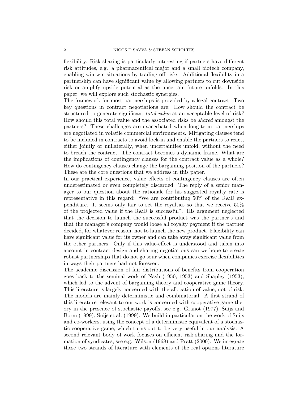flexibility. Risk sharing is particularly interesting if partners have different risk attitudes, e.g. a pharmaceutical major and a small biotech company, enabling win-win situations by trading off risks. Additional flexibility in a partnership can have significant value by allowing partners to cut downside risk or amplify upside potential as the uncertain future unfolds. In this paper, we will explore such stochastic synergies.

The framework for most partnerships is provided by a legal contract. Two key questions in contract negotiations are: How should the contract be structured to generate significant total value at an acceptable level of risk? How should this total value and the associated risks be shared amongst the partners? These challenges are exacerbated when long-term partnerships are negotiated in volatile commercial environments. Mitigating clauses tend to be included in contracts to avoid lock-in and enable the partners to react, either jointly or unilaterally, when uncertainties unfold, without the need to breach the contract. The contract becomes a dynamic frame. What are the implications of contingency clauses for the contract value as a whole? How do contingency clauses change the bargaining position of the partners? These are the core questions that we address in this paper.

In our practical experience, value effects of contingency clauses are often underestimated or even completely discarded. The reply of a senior manager to our question about the rationale for his suggested royalty rate is representative in this regard: "We are contributing 50% of the R&D expenditure. It seems only fair to set the royalties so that we receive 50% of the projected value if the R&D is successful". His argument neglected that the decision to launch the successful product was the partner's and that the manager's company would loose all royalty payment if the partner decided, for whatever reason, not to launch the new product. Flexibility can have significant value for its owner and can take away significant value from the other partners. Only if this value-effect is understood and taken into account in contract design and sharing negotiations can we hope to create robust partnerships that do not go sour when companies exercise flexibilities in ways their partners had not foreseen.

The academic discussion of fair distributions of benefits from cooperation goes back to the seminal work of Nash (1950, 1953) and Shapley (1953), which led to the advent of bargaining theory and cooperative game theory. This literature is largely concerned with the allocation of value, not of risk. The models are mainly deterministic and combinatorial. A first strand of this literature relevant to our work is concerned with cooperative game theory in the presence of stochastic payoffs, see e.g. Granot (1977), Suijs and Borm (1999), Suijs et al. (1999). We build in particular on the work of Suijs and co-workers, using the concept of a deterministic equivalent of a stochastic cooperative game, which turns out to be very useful in our analysis. A second relevant body of work focuses on efficient risk sharing and the formation of syndicates, see e.g. Wilson (1968) and Pratt (2000). We integrate these two strands of literature with elements of the real options literature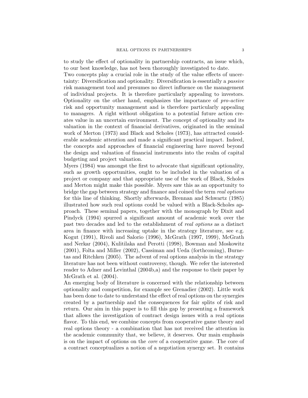to study the effect of optionality in partnership contracts, an issue which, to our best knowledge, has not been thoroughly investigated to date. Two concepts play a crucial role in the study of the value effects of uncertainty: Diversification and optionality. Diversification is essentially a passive risk management tool and presumes no direct influence on the management of individual projects. It is therefore particularly appealing to investors. Optionality on the other hand, emphasizes the importance of pro-active risk and opportunity management and is therefore particularly appealing to managers. A right without obligation to a potential future action creates value in an uncertain environment. The concept of optionality and its valuation in the context of financial derivatives, originated in the seminal work of Merton (1973) and Black and Scholes (1973), has attracted considerable academic attention and made a significant practical impact. Indeed, the concepts and approaches of financial engineering have moved beyond the design and valuation of financial instruments into the realm of capital budgeting and project valuation.

Myers (1984) was amongst the first to advocate that significant optionality, such as growth opportunities, ought to be included in the valuation of a project or company and that appropriate use of the work of Black, Scholes and Merton might make this possible. Myers saw this as an opportunity to bridge the gap between strategy and finance and coined the term real options for this line of thinking. Shortly afterwards, Brennan and Schwartz (1985) illustrated how such real options could be valued with a Black-Scholes approach. These seminal papers, together with the monograph by Dixit and Pindyck (1994) spurred a significant amount of academic work over the past two decades and led to the establishment of real options as a distinct area in finance with increasing uptake in the strategy literature, see e.g. Kogut (1991), Rivoli and Salorio (1996), McGrath (1997, 1999), McGrath and Nerkar (2004), Kulitilaka and Perotti (1998), Bowman and Moskowitz (2001), Folta and Miller (2002), Cassiman and Ueda (forthcoming), Burnetas and Ritchken (2005). The advent of real options analysis in the strategy literature has not been without controversy, though. We refer the interested reader to Adner and Levinthal (2004b,a) and the response to their paper by McGrath et al. (2004).

An emerging body of literature is concerned with the relationship between optionality and competition, for example see Grenadier (2002). Little work has been done to date to understand the effect of real options on the synergies created by a partnership and the consequences for fair splits of risk and return. Our aim in this paper is to fill this gap by presenting a framework that allows the investigation of contract design issues with a real options flavor. To this end, we combine concepts from cooperative game theory and real options theory - a combination that has not received the attention in the academic community that, we believe, it deserves. Our main emphasis is on the impact of options on the core of a cooperative game. The core of a contract conceptualizes a notion of a negotiation synergy set. It contains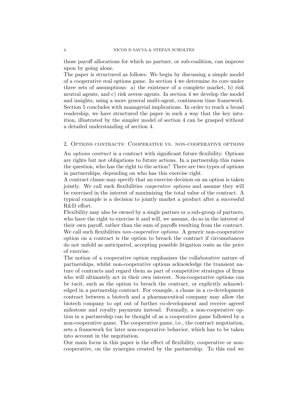those payoff allocations for which no partner, or sub-coalition, can improve upon by going alone.

The paper is structured as follows: We begin by discussing a simple model of a cooperative real options game. In section 4 we determine its core under three sets of assumptions: a) the existence of a complete market, b) risk neutral agents, and c) risk averse agents. In section 4 we develop the model and insights, using a more general multi-agent, continuous time framework. Section 5 concludes with managerial implications. In order to reach a broad readership, we have structured the paper in such a way that the key intuition, illustrated by the simpler model of section 4 can be grasped without a detailed understanding of section 4.

### 2. Options contracts: Cooperative vs. non-cooperative options

An options contract is a contract with significant future flexibility. Options are rights but not obligations to future actions. In a partnership this raises the question, who has the right to the action? There are two types of options in partnerships, depending on who has this exercise right.

A contract clause may specify that an exercise decision on an option is taken jointly. We call such flexibilities cooperative options and assume they will be exercised in the interest of maximizing the total value of the contract. A typical example is a decision to jointly market a product after a successful R&D effort.

Flexibility may also be owned by a single partner or a sub-group of partners, who have the right to exercise it and will, we assume, do so in the interest of their own payoff, rather than the sum of payoffs resulting from the contract. We call such flexibilities *non-cooperative options*. A generic non-cooperative option on a contract is the option to breach the contract if circumstances do not unfold as anticipated, accepting possible litigation costs as the price of exercise.

The notion of a cooperative option emphasizes the collaborative nature of partnerships, whilst non-cooperative options acknowledge the transient nature of contracts and regard them as part of competitive strategies of firms who will ultimately act in their own interest. Non-cooperative options can be tacit, such as the option to breach the contract, or explicitly acknowledged in a partnership contract. For example, a clause in a co-development contract between a biotech and a pharmaceutical company may allow the biotech company to opt out of further co-development and receive agreed milestone and royalty payments instead. Formally, a non-cooperative option in a partnership can be thought of as a cooperative game followed by a non-cooperative game. The cooperative game, i.e., the contract negotiation, sets a framework for later non-cooperative behavior, which has to be taken into account in the negotiation.

Our main focus in this paper is the effect of flexibility, cooperative or noncooperative, on the synergies created by the partnership. To this end we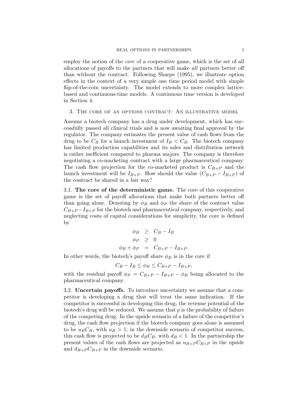employ the notion of the core of a cooperative game, which is the set of all allocations of payoffs to the partners that will make all partners better off than without the contract. Following Sharpe (1995), we illustrate option effects in the context of a very simple one time period model with simple flip-of-the-coin uncertainty. The model extends to more complex latticebased and continuous-time models. A continuous time version is developed in Section 4.

#### 3. The core of an options contract: An illustrative model

Assume a biotech company has a drug under development, which has successfully passed all clinical trials and is now awaiting final approval by the regulator. The company estimates the present value of cash flows from the drug to be  $C_B$  for a launch investment of  $I_B < C_B$ . The biotech company has limited production capabilities and its sales and distribution network is rather inefficient compared to pharma majors. The company is therefore negotiating a co-marketing contract with a large pharmaceutical company. The cash flow projection for the co-marketed product is  $C_{B+P}$  and the launch investment will be  $I_{B+P}$ . How should the value  $(C_{B+P} - I_{B+P})$  of the contract be shared in a fair way?

3.1. The core of the deterministic game. The core of this cooperative game is the set of payoff allocations that make both partners better off than going alone. Denoting by  $\phi_B$  and  $\phi_P$  the share of the contract value  $C_{B+P}-I_{B+P}$  for the biotech and pharmaceutical company, respectively, and neglecting costs of capital considerations for simplicity, the core is defined by

$$
\begin{array}{rcl}\n\phi_B & \geq & C_B - I_B \\
\phi_P & \geq & 0 \\
\phi_B + \phi_P & = & C_{B+P} - I_{B+P}.\n\end{array}
$$

In other words, the biotech's payoff share  $\phi_B$  is in the core if

$$
C_B - I_B \le \phi_B \le C_{B+P} - I_{B+P},
$$

with the residual payoff  $\phi_P = C_{B+P} - I_{B+P} - \phi_B$  being allocated to the pharmaceutical company.

3.2. Uncertain payoffs. To introduce uncertainty we assume that a competitor is developing a drug that will treat the same indication. If the competitor is successful in developing this drug, the revenue potential of the biotech's drug will be reduced. We assume that  $p$  is the probability of failure of the competing drug. In the upside scenario of a failure of the competitor's drug, the cash flow projection if the biotech company goes alone is assumed to be  $u_B C_B$ , with  $u_B > 1$ ; in the downside scenario of competitor success, this cash flow is projected to be  $d_B C_B$ , with  $d_B < 1$ . In the partnership the present values of the cash flows are projected as  $u_{B+P} C_{B+P}$  in the upside and  $d_{B+P}C_{B+P}$  in the downside scenario.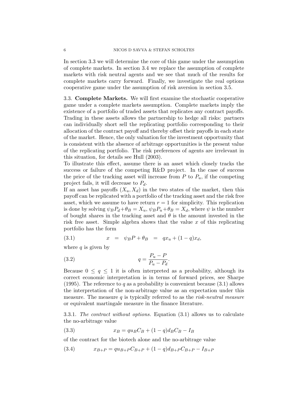In section 3.3 we will determine the core of this game under the assumption of complete markets. In section 3.4 we replace the assumption of complete markets with risk neutral agents and we see that much of the results for complete markets carry forward. Finally, we investigate the real options cooperative game under the assumption of risk aversion in section 3.5.

3.3. Complete Markets. We will first examine the stochastic cooperative game under a complete markets assumption. Complete markets imply the existence of a portfolio of traded assets that replicates any contract payoffs. Trading in these assets allows the partnership to hedge all risks: partners can individually short sell the replicating portfolio corresponding to their allocation of the contract payoff and thereby offset their payoffs in each state of the market. Hence, the only valuation for the investment opportunity that is consistent with the absence of arbitrage opportunities is the present value of the replicating portfolio. The risk preferences of agents are irrelevant in this situation, for details see Hull (2003).

To illustrate this effect, assume there is an asset which closely tracks the success or failure of the competing R&D project. In the case of success the price of the tracking asset will increase from  $P$  to  $P_u$ , if the competing project fails, it will decrease to  $P_d$ .

If an asset has payoffs  $(X_u, X_d)$  in the two states of the market, then this payoff can be replicated with a portfolio of the tracking asset and the risk free asset, which we assume to have return  $r = 1$  for simplicity. This replication is done by solving  $\psi_B P_d + \theta_B = X_u$ ,  $\psi_B P_u + \theta_B = X_d$ , where  $\psi$  is the number of bought shares in the tracking asset and  $\theta$  is the amount invested in the risk free asset. Simple algebra shows that the value  $x$  of this replicating portfolio has the form

(3.1) 
$$
x = \psi_B P + \theta_B = qx_u + (1 - q)x_d,
$$

where  $q$  is given by

$$
(3.2) \t\t q = \frac{P_u - P}{P_u - P_d}.
$$

Because  $0 \leq q \leq 1$  it is often interpreted as a probability, although its correct economic interpretation is in terms of forward prices, see Sharpe (1995). The reference to q as a probability is convenient because  $(3.1)$  allows the interpretation of the non-arbitrage value as an expectation under this measure. The measure q is typically referred to as the risk-neutral measure or equivalent martingale measure in the finance literature.

3.3.1. The contract without options. Equation (3.1) allows us to calculate the no-arbitrage value

(3.3) 
$$
x_B = qu_B C_B + (1 - q)d_B C_B - I_B
$$

of the contract for the biotech alone and the no-arbitrage value

(3.4) 
$$
x_{B+P} = qu_{B+P}C_{B+P} + (1-q)d_{B+P}C_{B+P} - I_{B+P}
$$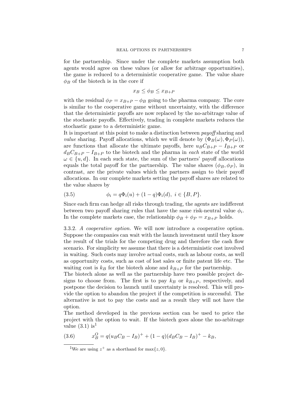for the partnership. Since under the complete markets assumption both agents would agree on these values (or allow for arbitrage opportunities), the game is reduced to a deterministic cooperative game. The value share  $\phi_B$  of the biotech is in the core if

$$
x_B \le \phi_B \le x_{B+P}
$$

with the residual  $\phi_P = x_{B+P} - \phi_B$  going to the pharma company. The core is similar to the cooperative game without uncertainty, with the difference that the deterministic payoffs are now replaced by the no-arbitrage value of the stochastic payoffs. Effectively, trading in complete markets reduces the stochastic game to a deterministic game.

It is important at this point to make a distinction between payoff sharing and *value* sharing. Payoff allocations, which we will denote by  $(\Phi_B(\omega), \Phi_P(\omega))$ , are functions that allocate the ultimate payoffs, here  $u_B C_{B+P} - I_{B+P}$  or  $d_B C_{B+P} - I_{B+P}$  to the biotech and the pharma in each state of the world  $\omega \in \{u, d\}$ . In each such state, the sum of the partners' payoff allocations equals the total payoff for the partnership. The value shares  $(\phi_B, \phi_P)$ , in contrast, are the private values which the partners assign to their payoff allocations. In our complete markets setting the payoff shares are related to the value shares by

(3.5) 
$$
\phi_i = q\Phi_i(u) + (1-q)\Phi_i(d), \ i \in \{B, P\}.
$$

Since each firm can hedge all risks through trading, the agents are indifferent between two payoff sharing rules that have the same risk-neutral value  $\phi_i$ . In the complete markets case, the relationship  $\phi_B + \phi_P = x_{B+P}$  holds.

3.3.2. A cooperative option. We will now introduce a cooperative option. Suppose the companies can wait with the launch investment until they know the result of the trials for the competing drug and therefore the cash flow scenario. For simplicity we assume that there is a deterministic cost involved in waiting. Such costs may involve actual costs, such as labour costs, as well as opportunity costs, such as cost of lost sales or finite patent life etc. The waiting cost is  $k_B$  for the biotech alone and  $k_{B+P}$  for the partnership.

The biotech alone as well as the partnership have two possible project designs to choose from. The first is to pay  $k_B$  or  $k_{B+P}$ , respectively, and postpone the decision to launch until uncertainty is resolved. This will provide the option to abandon the project if the competition is successful. The alternative is not to pay the costs and as a result they will not have the option.

The method developed in the previous section can be used to price the project with the option to wait. If the biotech goes alone the no-arbitrage value  $(3.1)$  is<sup>1</sup>

(3.6) 
$$
x_B^O = q(u_B C_B - I_B)^+ + (1 - q)(d_B C_B - I_B)^+ - k_B,
$$

<sup>&</sup>lt;sup>1</sup>We are using  $z^+$  as a shorthand for max $\{z, 0\}$ .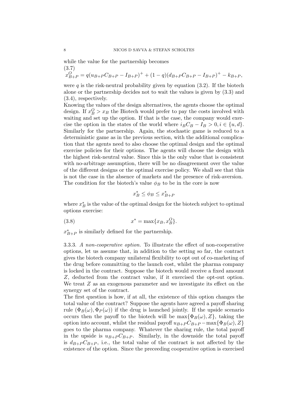while the value for the partnership becomes (3.7)

 $x_{B+P}^O = q(u_{B+P}C_{B+P} - I_{B+P})^+ + (1-q)(d_{B+P}C_{B+P} - I_{B+P})^+ - k_{B+P},$ 

were  $q$  is the risk-neutral probability given by equation  $(3.2)$ . If the biotech alone or the partnership decides not to wait the values is given by (3.3) and (3.4), respectively.

Knowing the values of the design alternatives, the agents choose the optimal design. If  $x_B^O > x_B$  the Biotech would prefer to pay the costs involved with waiting and set up the option. If that is the case, the company would exercise the option in the states of the world where  $i_B C_B - I_B > 0, i \in \{u, d\}.$ Similarly for the partnership. Again, the stochastic game is reduced to a deterministic game as in the previous section, with the additional complication that the agents need to also choose the optimal design and the optimal exercise policies for their options. The agents will choose the design with the highest risk-neutral value. Since this is the only value that is consistent with no-arbitrage assumption, there will be no disagreement over the value of the different designs or the optimal exercise policy. We shall see that this is not the case in the absence of markets and the presence of risk-aversion. The condition for the biotech's value  $\phi_B$  to be in the core is now

$$
x_B^* \le \phi_B \le x_{B+P}^*
$$

where  $x_B^*$  is the value of the optimal design for the biotech subject to optimal options exercise:

$$
(3.8) \t\t x^* = \max\{x_B, x_B^O\}.
$$

 $x_{B+P}^*$  is similarly defined for the partnership.

3.3.3. A non-cooperative option. To illustrate the effect of non-cooperative options, let us assume that, in addition to the setting so far, the contract gives the biotech company unilateral flexibility to opt out of co-marketing of the drug before committing to the launch cost, whilst the pharma company is locked in the contract. Suppose the biotech would receive a fixed amount Z, deducted from the contract value, if it exercised the opt-out option. We treat  $Z$  as an exogenous parameter and we investigate its effect on the synergy set of the contract.

The first question is how, if at all, the existence of this option changes the total value of the contract? Suppose the agents have agreed a payoff sharing rule  $(\Phi_B(\omega), \Phi_P(\omega))$  if the drug is launched jointly. If the upside scenario occurs then the payoff to the biotech will be  $\max{\Phi_B(\omega), Z}$ , taking the option into account, whilst the residual payoff  $u_{B+P}C_{B+P}$  – max $\{\Phi_B(\omega), Z\}$ goes to the pharma company. Whatever the sharing rule, the total payoff in the upside is  $u_{B+P}C_{B+P}$ . Similarly, in the downside the total payoff is  $d_{B+P} C_{B+P}$ , i.e., the total value of the contract is not affected by the existence of the option. Since the preceeding cooperative option is exercised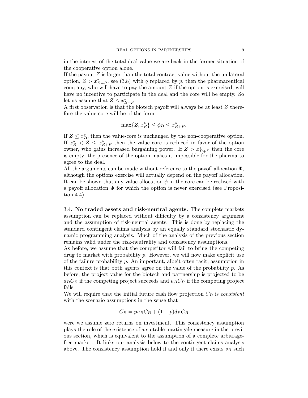in the interest of the total deal value we are back in the former situation of the cooperative option alone.

If the payout  $Z$  is larger than the total contract value without the unilateral option,  $Z > x^*_{B+P}$ , see (3.8) with q replaced by p, then the pharmaceutical company, who will have to pay the amount  $Z$  if the option is exercised, will have no incentive to participate in the deal and the core will be empty. So let us assume that  $Z \leq x^*_{B+P}$ .

A first observation is that the biotech payoff will always be at least Z therefore the value-core will be of the form

$$
\max\{Z, x_B^*\} \le \phi_B \le x_{B+P}^*.
$$

If  $Z \leq x_B^*$ , then the value-core is unchanged by the non-cooperative option. If  $x_B^* < Z \leq x_{B+P}^*$  then the value core is reduced in favor of the option owner, who gains increased bargaining power. If  $Z > x^*_{B+P}$  then the core is empty; the presence of the option makes it impossible for the pharma to agree to the deal.

All the arguments can be made without reference to the payoff allocation  $\Phi$ , although the options exercise will actually depend on the payoff allocation. It can be shown that any value allocation  $\phi$  in the core can be realised with a payoff allocation  $\Phi$  for which the option is never exercised (see Proposition 4.4).

3.4. No traded assets and risk-neutral agents. The complete markets assumption can be replaced without difficulty by a consistency argument and the assumption of risk-neutral agents. This is done by replacing the standard contingent claims analysis by an equally standard stochastic dynamic programming analysis. Much of the analysis of the previous section remains valid under the risk-neutrality and consistency assumptions.

As before, we assume that the competitor will fail to bring the competing drug to market with probability p. However, we will now make explicit use of the failure probability p. An important, albeit often tacit, assumption in this context is that both agents agree on the value of the probability  $p$ . As before, the project value for the biotech and partnership is projected to be  $d_B C_B$  if the competing project succeeds and  $u_B C_B$  if the competing project fails.

We will require that the initial future cash flow projection  $C_B$  is consistent with the scenario assumptions in the sense that

$$
C_B = pu_B C_B + (1 - p)d_B C_B
$$

were we assume zero returns on investment. This consistency assumption plays the role of the existence of a suitable martingale measure in the previous section, which is equivalent to the assumption of a complete arbitragefree market. It links our analysis below to the contingent claims analysis above. The consistency assumption hold if and only if there exists  $s_B$  such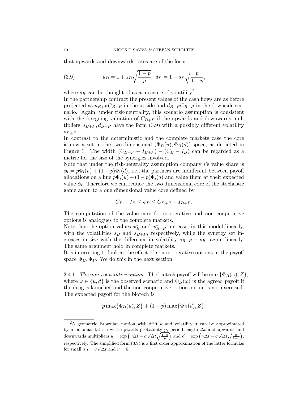that upwards and downwards rates are of the form

(3.9) 
$$
u_B = 1 + s_B \sqrt{\frac{1-p}{p}}, \ d_B = 1 - s_B \sqrt{\frac{p}{1-p}},
$$

where  $s_B$  can be thought of as a measure of volatility<sup>2</sup>.

In the partnership contract the present values of the cash flows are as before projected as  $u_{B+P}C_{B+P}$  in the upside and  $d_{B+P}C_{B+P}$  in the downside scenario. Again, under risk-neutrality, this scenario assumption is consistent with the foregoing valuation of  $C_{B+P}$  if the upwards and downwards multipliers  $u_{B+P}, d_{B+P}$  have the form (3.9) with a possibly different volatility  $s_{B+P}$ .

In contrast to the deterministic and the complete markets case the core is now a set in the two-dimensional  $(\Phi_B(u), \Phi_B(d))$ -space, as depicted in Figure 1. The width  $(C_{B+P} - I_{B+P}) - (C_B - I_B)$  can be regarded as a metric for the size of the synergies involved.

Note that under the risk-neutrality assumption company i's value share is  $\phi_i = p\Phi_i(u) + (1-p)\Phi_i(d)$ , i.e., the partners are indifferent between payoff allocations on a line  $p\Phi_i(u) + (1-p)\Phi_i(d)$  and value them at their expected value  $\phi_i$ . Therefore we can reduce the two dimensional core of the stochastic game again to a one dimensional value core defined by

$$
C_B - I_B \le \phi_B \le C_{B+P} - I_{B+P}.
$$

The computation of the value core for cooperative and non cooperative options is analogues to the complete markets.

Note that the option values  $x_B^*$  and  $x_{B+P}^*$  increase, in this model linearly, with the volatilities  $s_B$  and  $s_{B+P}$ , respectively, while the synergy set increases in size with the difference in volatility  $s_{B+P} - s_B$ , again linearly. The same argument hold in complete markets.

It is interesting to look at the effect of non-cooperative options in the payoff space  $\Phi_B$ ,  $\Phi_P$ . We do this in the next section.

3.4.1. The non-cooperative option. The biotech payoff will be  $\max{\Phi_B(\omega), Z}$ , where  $\omega \in \{u, d\}$  is the observed scenario and  $\Phi_B(\omega)$  is the agreed payoff if the drug is launched and the non-cooperative option option is not exercised. The expected payoff for the biotech is

$$
p\max\{\Phi_B(u), Z\} + (1-p)\max\{\Phi_B(d), Z\},\
$$

<sup>&</sup>lt;sup>2</sup>A geometric Brownian motion with drift  $\nu$  and volatility  $\sigma$  can be approximated by a binomial lattice with upwards probability p, period length  $\Delta t$  and upwards and  $\frac{d}{dx}$  and  $d$  = exp  $\left(\nu\Delta t + \sigma\sqrt{\Delta t}\sqrt{\frac{1-p}{p}}\right)$  and  $d = \exp\left(\nu\Delta t - \sigma\sqrt{\Delta t}\sqrt{\frac{p}{1-p}}\right)$ , respectively. The simplified form  $(3.9)$  is a first order approximation of the latter formulas for small  $s_B = \sigma \sqrt{\Delta t}$  and  $\nu = 0$ .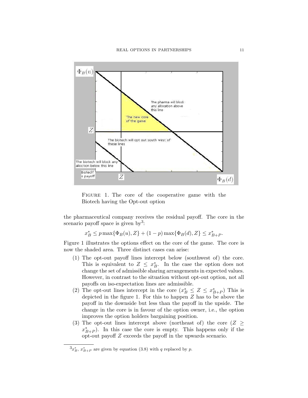

FIGURE 1. The core of the cooperative game with the Biotech having the Opt-out option

the pharmaceutical company receives the residual payoff. The core in the scenario payoff space is given by<sup>3</sup>:

 $x_B^* \le p \max{\Phi_B(u), Z} + (1-p) \max{\Phi_B(d), Z} \le x_{B+P}^*$ .

Figure 1 illustrates the options effect on the core of the game. The core is now the shaded area. Three distinct cases can arise:

- (1) The opt-out payoff lines intercept below (southwest of) the core. This is equivalent to  $Z \leq x_B^*$ . In the case the option does not change the set of admissible sharing arrangements in expected values. However, in contrast to the situation without opt-out option, not all payoffs on iso-expectation lines are admissible.
- (2) The opt-out lines intercept in the core  $(x_B^* \leq Z \leq x_{B+P}^*)$  This is depicted in the figure 1. For this to happen Z has to be above the payoff in the downside but less than the payoff in the upside. The change in the core is in favour of the option owner, i.e., the option improves the option holders bargaining position.
- (3) The opt-out lines intercept above (northeast of) the core ( $Z \geq$  $x^*_{B+P}$ ). In this case the core is empty. This happens only if the opt-out payoff Z exceeds the payoff in the upwards scenario.

 ${}^{3}x_{B}^{*}$ ,  $x_{B+P}^{*}$  are given by equation (3.8) with q replaced by p.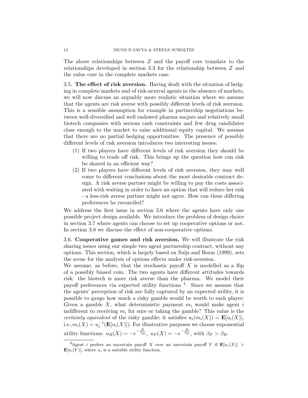The above relationships between Z and the payoff core translate to the relationships developed in section 3.3 for the relationship between Z and the value core in the complete markets case.

3.5. The effect of risk aversion. Having dealt with the situation of hedging in complete markets and of risk-neutral agents in the absence of markets, we will now discuss an arguably more realistic situation where we assume that the agents are risk averse with possibly different levels of risk aversion. This is a sensible assumption for example in partnership negotiations between well-diversified and well endowed pharma majors and relatively small biotech companies with serious cash constraints and few drug candidates close enough to the market to raise additional equity capital. We assume that there are no partial hedging opportunities. The presence of possibly different levels of risk aversion introduces two interesting issues:

- (1) If two players have different levels of risk aversion they should be willing to trade off risk. This brings up the question how can risk be shared in an efficient way?
- (2) If two players have different levels of risk aversion, they may well come to different conclusions about the most desirable contract design. A risk averse partner might be willing to pay the costs associated with waiting in order to have an option that will reduce her risk - a less-risk averse partner might not agree. How can these differing preferences be reconciled?

We address the first issue in section 3.6 where the agents have only one possible project design available. We introduce the problem of design choice in section 3.7 where agents can choose to set up cooperative options or not. In section 3.8 we discuss the effect of non-cooperative options.

3.6. Cooperative games and risk aversion. We will illustrate the risk sharing issues using our simple two agent partnership contract, without any options. This section, which is largely based on Suijs and Borm (1999), sets the scene for the analysis of options effects under risk-aversion.

We assume, as before, that the stochastic payoff  $X$  is modelled as a flip of a possibly biased coin. The two agents have different attitudes towards risk: the biotech is more risk averse than the pharma. We model their payoff preferences via expected utility functions <sup>4</sup>. Since we assume that the agents' perception of risk are fully captured by an expected utility, it is possible to gauge how much a risky gamble would be worth to each player: Given a gamble X, what deterministic payment  $m_i$  would make agent i indifferent to receiving  $m_i$  for sure or taking the gamble? This value is the certainty equivalent of the risky gamble; it satisfies  $u_i(m_i(X)) = \mathbf{E}[u_i(X)],$ i.e., $m_i(X) = u_i^{-1}(\mathbf{E}[u_i(X)])$ . For illustrative purposes we choose exponential utility functions:  $u_B(X) = -e^{-\frac{X}{\beta_B}}, u_P(X) = -e^{-\frac{X}{\beta_P}}, \text{ with } \beta_P > \beta_B.$ 

<sup>&</sup>lt;sup>4</sup>Agent *i* prefers an uncertain payoff X over an uncertain payoff Y if  $\mathbf{E}[u_i(X)] >$  $\mathbf{E}[u_i(Y)]$ , where  $u_i$  is a suitable utility function.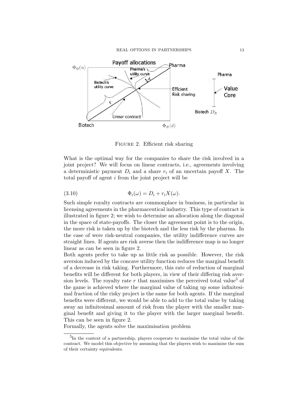

FIGURE 2. Efficient risk sharing

What is the optimal way for the companies to share the risk involved in a joint project? We will focus on linear contracts, i.e., agreements involving a deterministic payment  $D_i$  and a share  $r_i$  of an uncertain payoff X. The total payoff of agent i from the joint project will be

(3.10) 
$$
\Phi_i(\omega) = D_i + r_i X(\omega).
$$

Such simple royalty contracts are commonplace in business, in particular in licensing agreements in the pharmaceutical industry. This type of contract is illustrated in figure 2; we wish to determine an allocation along the diagonal in the space of state-payoffs. The closer the agreement point is to the origin, the more risk is taken up by the biotech and the less risk by the pharma. In the case of were risk-neutral companies, the utility indifference curves are straight lines. If agents are risk averse then the indifference map is no longer linear as can be seen in figure 2.

Both agents prefer to take up as little risk as possible. However, the risk aversion induced by the concave utility function reduces the marginal benefit of a decrease in risk taking. Furthermore, this rate of reduction of marginal benefits will be different for both players, in view of their differing risk aversion levels. The royalty rate  $r$  that maximises the perceived total value<sup>5</sup> of the game is achieved where the marginal value of taking up some infinitesimal fraction of the risky project is the same for both agents. If the marginal benefits were different, we would be able to add to the total value by taking away an infinitesimal amount of risk from the player with the smaller marginal benefit and giving it to the player with the larger marginal benefit. This can be seen in figure 2.

Formally, the agents solve the maximisation problem

<sup>&</sup>lt;sup>5</sup>In the context of a partnership, players cooperate to maximise the total value of the contract. We model this objective by assuming that the players wish to maximise the sum of their certainty equivalents.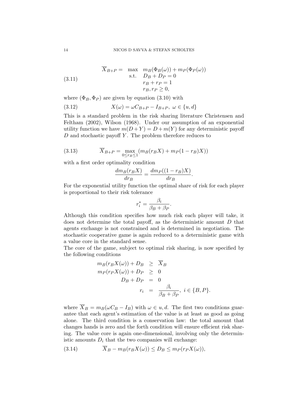(3.11) 
$$
\overline{X}_{B+P} = \max_{\substack{m \to 0 \ \text{ s.t.} \ D_B + D_P = 0}} \frac{m_B(\Phi_B(\omega)) + m_P(\Phi_P(\omega))}{r_B + r_P = 1}
$$

$$
r_B, r_P \ge 0,
$$

where  $(\Phi_B, \Phi_P)$  are given by equation (3.10) with

(3.12) 
$$
X(\omega) = \omega C_{B+P} - I_{B+P}, \ \omega \in \{u, d\}
$$

This is a standard problem in the risk sharing literature Christensen and Feltham (2002), Wilson (1968). Under our assumption of an exponential utility function we have  $m(D+Y) = D + m(Y)$  for any deterministic payoff  $D$  and stochastic payoff Y. The problem therefore reduces to

(3.13) 
$$
\overline{X}_{B+P} = \max_{0 \le r_B \le 1} (m_B(r_B X) + m_P(1 - r_B)X))
$$

with a first order optimality condition

$$
\frac{dm_B(r_B X)}{dr_B} = \frac{dm_P((1 - r_B)X)}{dr_B}.
$$

For the exponential utility function the optimal share of risk for each player is proportional to their risk tolerance

$$
r_i^* = \frac{\beta_i}{\beta_B + \beta_P}.
$$

Although this condition specifies how much risk each player will take, it does not determine the total payoff, as the deterministic amount  $D$  that agents exchange is not constrained and is determined in negotiation. The stochastic cooperative game is again reduced to a deterministic game with a value core in the standard sense.

The core of the game, subject to optimal risk sharing, is now specified by the following conditions

$$
m_B(r_B X(\omega)) + D_B \ge \overline{X}_B
$$
  
\n
$$
m_P(r_P X(\omega)) + D_P \ge 0
$$
  
\n
$$
D_B + D_P = 0
$$
  
\n
$$
r_i = \frac{\beta_i}{\beta_B + \beta_P}, i \in \{B, P\}.
$$

where  $\overline{X}_B = m_B(\omega C_B - I_B)$  with  $\omega \in u, d$ . The first two conditions guarantee that each agent's estimation of the value is at least as good as going alone. The third condition is a conservation law: the total amount that changes hands is zero and the forth condition will ensure efficient risk sharing. The value core is again one-dimensional, involving only the deterministic amounts  $D_i$  that the two companies will exchange:

(3.14) 
$$
\overline{X}_B - m_B(r_B X(\omega)) \le D_B \le m_P(r_P X(\omega)),
$$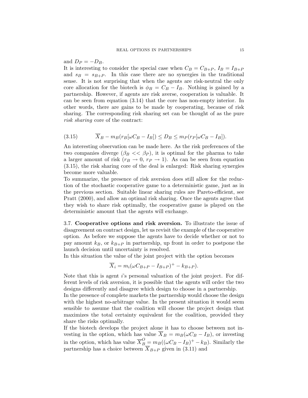#### and  $D_P = -D_B$ .

It is interesting to consider the special case when  $C_B = C_{B+P}$ ,  $I_B = I_{B+P}$ and  $s_B = s_{B+P}$ . In this case there are no synergies in the traditional sense. It is not surprising that when the agents are risk-neutral the only core allocation for the biotech is  $\phi_B = C_B - I_B$ . Nothing is gained by a partnership. However, if agents are risk averse, cooperation is valuable. It can be seen from equation (3.14) that the core has non-empty interior. In other words, there are gains to be made by cooperating, because of risk sharing. The corresponding risk sharing set can be thought of as the pure risk sharing core of the contract:

$$
(3.15) \qquad \overline{X}_B - m_B(r_B[\omega C_B - I_B]) \le D_B \le m_P(r_P[\omega C_B - I_B]).
$$

An interesting observation can be made here. As the risk preferences of the two companies diverge  $(\beta_B \ll \beta_P)$ , it is optimal for the pharma to take a larger amount of risk  $(r_B \rightarrow 0, r_P \rightarrow 1)$ . As can be seen from equation (3.15), the risk sharing core of the deal is enlarged: Risk sharing synergies become more valuable.

To summarize, the presence of risk aversion does still allow for the reduction of the stochastic cooperative game to a deterministic game, just as in the previous section. Suitable linear sharing rules are Pareto-efficient, see Pratt (2000), and allow an optimal risk sharing. Once the agents agree that they wish to share risk optimally, the cooperative game is played on the deterministic amount that the agents will exchange.

3.7. Cooperative options and risk aversion. To illustrate the issue of disagreement on contract design, let us revisit the example of the cooperative option. As before we suppose the agents have to decide whether or not to pay amount  $k_B$ , or  $k_{B+P}$  in partnership, up front in order to postpone the launch decision until uncertainty is resolved.

In this situation the value of the joint project with the option becomes

$$
\overline{X}_i = m_i(\omega C_{B+P} - I_{B+P})^+ - k_{B+P}).
$$

Note that this is agent i's personal valuation of the joint project. For different levels of risk aversion, it is possible that the agents will order the two designs differently and disagree which design to choose in a partnership.

In the presence of complete markets the partnership would choose the design with the highest no-arbitrage value. In the present situation it would seem sensible to assume that the coalition will choose the project design that maximizes the total certainty equivalent for the coalition, provided they share the risks optimally.

If the biotech develops the project alone it has to choose between not investing in the option, which has value  $\overline{X}_B = m_B(\omega C_B - I_B)$ , or investing in the option, which has value  $\overline{X}_{B}^{O} = m_{B}((\omega C_{B} - I_{B})^{+} - k_{B})$ . Similarly the partnership has a choice between  $X_{B+P}$  given in (3.11) and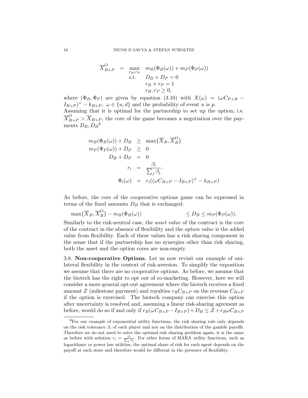$$
\overline{X}_{B+P}^{O} = \max_{\substack{r_B, r_P \\ \text{s.t.}}} m_B(\Phi_B(\omega)) + m_P(\Phi_P(\omega))
$$
  
s.t. 
$$
D_B + D_P = 0
$$

$$
r_B + r_P = 1
$$

$$
r_B, r_P \ge 0,
$$

where  $(\Phi_B, \Phi_P)$  are given by equation (3.10) with  $X(\omega) = (\omega C_{P+B} (I_{B+P})^+ - k_{B+P}$ ,  $\omega \in \{u, d\}$  and the probability of event u is p.

Assuming that it is optimal for the partnership to set up the option, i.e.  $\overline{X}_{B+P}^O > \overline{X}_{B+P}$ , the core of the game becomes a negotiation over the payments  $D_B, D_B$ <sup>6</sup>

$$
m_B(\Phi_B(\omega)) + D_B \ge \max{\{\overline{X}_B, \overline{X}_B^O\}}
$$
  
\n
$$
m_P(\Phi_P(\omega)) + D_P \ge 0
$$
  
\n
$$
D_B + D_P = 0
$$
  
\n
$$
r_i = \frac{\beta_i}{\sum_j \beta_j}.
$$
  
\n
$$
\Phi_i(\omega) = r_i((\omega C_{B+P} - I_{B+P})^+ - k_{B+P})
$$

As before, the core of the cooperative options game can be expressed in terms of the fixed amounts  $D<sub>B</sub>$  that is exchanged:

$$
\max\{\overline{X}_B,\overline{X}_B^O\} - m_B(\Phi_B(\omega)) \qquad \qquad \leq D_B \leq m_P(\Phi_P(\omega)).
$$

Similarly to the risk-neutral case, the asset value of the contract is the core of the contract in the absence of flexibility and the option value is the added value from flexibility. Each of these values has a risk sharing component in the sense that if the partnership has no synergies other than risk sharing, both the asset and the option cores are non-empty.

3.8. Non-cooperative Options. Let us now revisit our example of unilateral flexibility in the context of risk-aversion. To simplify the exposition we assume that there are no cooperative options. As before, we assume that the biotech has the right to opt out of co-marketing. However, here we will consider a more general opt-out agreement where the biotech receives a fixed amount Z (milestone payment) and royalties  $r_R C_{B+P}$  on the revenue  $C_{B+P}$ if the option is exercised. The biotech company can exercise this option after uncertainty is resolved and, assuming a linear risk-sharing agrement as before, would do so if and only if  $r_B(\omega C_{B+P} - I_{B+P}) + D_B \leq Z + r_R \omega C_{B+P}$ 

 ${}^{6}$ For our example of exponential utility functions, the risk sharing rule only depends on the risk tolerance  $\beta_i$  of each player and not on the distribution of the gamble payoffs. Therefore we do not need to solve the optimal risk sharing problem again; it is the same as before with solution  $r_i = \frac{\beta_i}{\sum_j \beta_j}$ . For other forms of HARA utility functions, such as logarithmic or power law utilities, the optimal share of risk for each agent depends on the payoff at each state and therefore would be different in the presence of flexibility.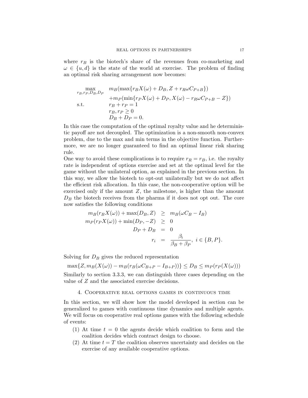where  $r_B$  is the biotech's share of the revenues from co-marketing and  $\omega \in \{u, d\}$  is the state of the world at exercise. The problem of finding an optimal risk sharing arrangement now becomes:

$$
\max_{r_B, r_P, D_B, D_P} \quad m_B(\max\{r_B X(\omega) + D_B, Z + r_R \omega C_{P+B}\})
$$
  
+
$$
m_P(\min\{r_P X(\omega) + D_P, X(\omega) - r_R \omega C_{P+B} - Z\})
$$
  
s.t.  

$$
\begin{aligned}\nr_B + r_P &= 1\\r_B, r_P &\geq 0\\D_B + D_P &= 0.\n\end{aligned}
$$

In this case the computation of the optimal royalty value and he deterministic payoff are not decoupled. The optimization is a non-smooth non-convex problem, due to the max and min terms in the objective function. Furthermore, we are no longer guaranteed to find an optimal linear risk sharing rule.

One way to avoid these complications is to require  $r_R = r_B$ , i.e. the royalty rate is independent of options exercise and set at the optimal level for the game without the unilateral option, as explained in the previous section. In this way, we allow the biotech to opt-out unilaterally but we do not affect the efficient risk allocation. In this case, the non-cooperative option will be exercised only if the amount  $Z$ , the milestone, is higher than the amount  $D<sub>B</sub>$  the biotech receives from the pharma if it does not opt out. The core now satisfies the following conditions

$$
m_B(r_B X(\omega)) + \max(D_B, Z) \ge m_B(\omega C_B - I_B)
$$
  
\n
$$
m_P(r_P X(\omega)) + \min(D_P, -Z) \ge 0
$$
  
\n
$$
D_P + D_B = 0
$$
  
\n
$$
r_i = \frac{\beta_i}{\beta_B + \beta_P}, \ i \in \{B, P\}.
$$

Solving for  $D_B$  gives the reduced representation

 $\max\{Z, m_B(X(\omega)) - m_B(r_B(\omega C_{B+P} - I_{B+P}))\} \le D_B \le m_P(r_P(X(\omega)))$ Similarly to section 3.3.3, we can distinguish three cases depending on the value of Z and the associated exercise decisions.

#### 4. Cooperative real options games in continuous time

In this section, we will show how the model developed in section can be generalized to games with continuous time dynamics and multiple agents. We will focus on cooperative real options games with the following schedule of events:

- (1) At time  $t = 0$  the agents decide which coalition to form and the coalition decides which contract design to choose.
- (2) At time  $t = T$  the coalition observes uncertainty and decides on the exercise of any available cooperative options.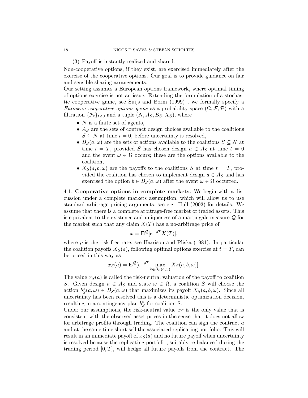(3) Payoff is instantly realized and shared.

Non-cooperative options, if they exist, are exercised immediately after the exercise of the cooperative options. Our goal is to provide guidance on fair and sensible sharing arrangements.

Our setting assumes a European options framework, where optimal timing of options exercise is not an issue. Extending the formulation of a stochastic cooperative game, see Suijs and Borm (1999) , we formally specify a European cooperative options game as a probability space  $(\Omega, \mathcal{F}, \mathcal{P})$  with a filtration  $\{\mathcal{F}_t\}_{t\geq 0}$  and a tuple  $(N, A_S, B_S, X_S)$ , where

- $N$  is a finite set of agents,
- $A<sub>S</sub>$  are the sets of contract design choices available to the coalitions  $S \subseteq N$  at time  $t = 0$ , before uncertainty is resolved,
- $B_S(a,\omega)$  are the sets of actions available to the coalitions  $S \subseteq N$  at time  $t = T$ , provided S has chosen design  $a \in A_S$  at time  $t = 0$ and the event  $\omega \in \Omega$  occurs; these are the options available to the coalition,
- $X_S(a, b, \omega)$  are the payoffs to the coalitions S at time  $t = T$ , provided the coalition has chosen to implement design  $a \in A_S$  and has exercised the option  $b \in B_{S}(a, \omega)$  after the event  $\omega \in \Omega$  occurred.

4.1. Cooperative options in complete markets. We begin with a discussion under a complete markets assumption, which will allow us to use standard arbitrage pricing arguments, see e.g. Hull (2003) for details. We assume that there is a complete arbitrage-free market of traded assets. This is equivalent to the existence and uniqueness of a martingale measure  $\mathcal Q$  for the market such that any claim  $X(T)$  has a no-arbitrage price of

$$
x = \mathbf{E}^{\mathcal{Q}}[e^{-\rho T}X(T)],
$$

where  $\rho$  is the risk-free rate, see Harrison and Pliska (1981). In particular the coalition payoffs  $X_{\mathcal{S}}(a)$ , following optimal options exercise at  $t = T$ , can be priced in this way as

$$
x_S(a) = \mathbf{E}^{\mathcal{Q}} [e^{-\rho T} \max_{b \in B_S(a,\omega)} X_S(a,b,\omega)].
$$

The value  $x<sub>S</sub>(a)$  is called the risk-neutral valuation of the payoff to coalition S. Given design  $a \in A_S$  and state  $\omega \in \Omega$ , a coalition S will choose the action  $b_S^*(a, \omega) \in B_S(a, \omega)$  that maximizes its payoff  $X_S(a, b, \omega)$ . Since all uncertainty has been resolved this is a deterministic optimization decision, resulting in a contingency plan  $b_S^*$  for coalition S.

Under our assumptions, the risk-neutral value  $x<sub>S</sub>$  is the only value that is consistent with the observed asset prices in the sense that it does not allow for arbitrage profits through trading. The coalition can sign the contract  $a$ and at the same time short-sell the associated replicating portfolio. This will result in an immediate payoff of  $x_S(a)$  and no future payoff when uncertainty is resolved because the replicating portfolio, suitably re-balanced during the trading period  $[0, T]$ , will hedge all future payoffs from the contract. The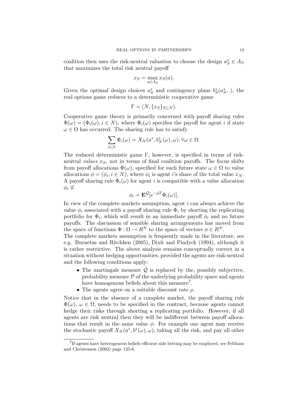coalition then uses the risk-neutral valuation to choose the design  $a_S^* \in A_S$ that maximizes the total risk neutral payoff

$$
x_S = \max_{a \in A_S} x_S(a).
$$

Given the optimal design choices  $a_S^*$  and contingency plans  $b_S^*(a_S^*,.)$ , the real options game reduces to a deterministic cooperative game

$$
\Gamma = (N, \{x_S\}_{S \subseteq N}).
$$

Cooperative game theory is primarily concerned with payoff sharing rules  $\Phi(\omega) = (\Phi_i(\omega), i \in N)$ , where  $\Phi_i(\omega)$  specifies the payoff for agent i if state  $\omega \in \Omega$  has occurred. The sharing rule has to satisfy

$$
\sum_{i \in N} \Phi_i(\omega) = X_N(a^*, b_N^*(\omega), \omega), \forall \omega \in \Omega.
$$

The reduced deterministic game Γ, however, is specified in terms of riskneutral values  $x<sub>S</sub>$ , not in terms of final coalition payoffs. The focus shifts from payoff allocations  $\Phi(\omega)$ , specified for each future state  $\omega \in \Omega$  to value allocations  $\phi = (\phi_i, i \in N)$ , where  $\phi_i$  is agent *i*'s share of the total value  $x_N$ . A payoff sharing rule  $\Phi_i(\omega)$  for agent i is compatible with a value allocation  $\phi_i$  if

$$
\phi_i = \mathbf{E}^{\mathcal{Q}} [e^{-\rho T} \Phi_i(\omega)].
$$

In view of the complete markets assumption, agent  $i$  can always achieve the value  $\phi_i$  associated with a payoff sharing rule  $\Phi_i$  by shorting the replicating portfolio for  $\Phi_i$ , which will result in an immediate payoff  $\phi_i$  and no future payoffs. The discussion of sensible sharing arrangements has moved from the space of functions  $\Phi : \Omega \to R^N$  to the space of vectors  $\phi \in R^N$ .

The complete markets assumption is frequently made in the literature, see e.g. Burnetas and Ritchken (2005), Dixit and Pindyck (1994), although it is rather restrictive. The above analysis remains conceptually correct in a situation without hedging opportunities, provided the agents are risk-neutral and the following conditions apply:

- The martingale measure  $Q$  is replaced by the, possibly subjective, probability measure  $\mathcal P$  of the underlying probability space and agents have homogenous beliefs about this measure<sup>7</sup>.
- The agents agree on a suitable discount rate  $\rho$ .

Notice that in the absence of a complete market, the payoff sharing rule  $\Phi(\omega)$ ,  $\omega \in \Omega$ , needs to be specified in the contract, because agents cannot hedge their risks through shorting a replicating portfolio. However, if all agents are risk neutral then they will be indifferent between payoff allocations that result in the same value  $\phi$ . For example one agent may receive the stochastic payoff  $X_N(a^*,b^*(\omega),\omega)$ , taking all the risk, and pay all other

<sup>&</sup>lt;sup>7</sup>If agents have heterogenous beliefs efficient side betting may be employed, see Feltham and Christensen (2002) page 125-6.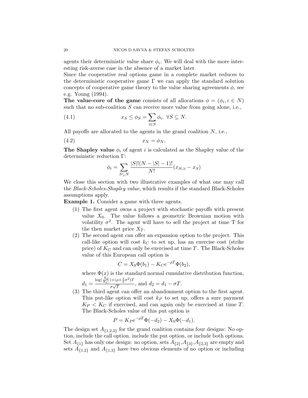agents their deterministic value share  $\phi_i$ . We will deal with the more interesting risk-averse case in the absence of a market later.

Since the cooperative real options game in a complete market reduces to the deterministic cooperative game  $\Gamma$  we can apply the standard solution concepts of cooperative game theory to the value sharing agreements  $\phi$ , see e.g. Young (1994).

The value-core of the game consists of all allocations  $\phi = (\phi_i, i \in N)$ such that no sub-coalition  $S$  can receive more value from going alone, i.e.,

(4.1) 
$$
x_S \le \phi_S = \sum_{i \in S} \phi_i, \ \forall S \subseteq N.
$$

All payoffs are allocated to the agents in the grand coalition  $N$ , i.e.,

$$
(4.2) \t\t x_N = \phi_N.
$$

**The Shapley value**  $\phi_i$  of agent i is calculated as the Shapley value of the deterministic reduction Γ:

$$
\phi_i = \sum_{S \subseteq N} \frac{|S|!(N - |S| - 1)!}{N!}(x_{S \cup i} - x_S)
$$

We close this section with two illustrative examples of what one may call the Black-Scholes-Shapley value, which results if the standard Black-Scholes assumptions apply.

Example 1. Consider a game with three agents.

- (1) The first agent owns a project with stochastic payoffs with present value  $X_0$ . The value follows a geometric Brownian motion with volatility  $\sigma^2$ . The agent will have to sell the project at time T for the then market price  $X_T$ .
- (2) The second agent can offer an expansion option to the project. This call-like option will cost  $k<sub>C</sub>$  to set up, has an exercise cost (strike price) of  $K_C$  and can only be exercised at time T. The Black-Scholes value of this European call option is

$$
C = X_0 \Phi(b_1) - K_C e^{-\rho T} \Phi(b_2),
$$

where  $\Phi(x)$  is the standard normal cumulative distribution function,  $\log(\frac{X_0}{K_C}) + (\rho + \frac{1}{2}\sigma^2)T$ 

$$
d_1 = \frac{\log_{K_C} \frac{1}{r} \left( \frac{1}{2} \right)^{1/(r+1)} \frac{1}{2}}{\sigma \sqrt{T}}, \text{ and } d_2 = d_1 - \sigma T.
$$

(3) The third agent can offer an abandonment option to the first agent. This put-like option will cost  $k_P$  to set up, offers a sure payment  $K_P < K_C$  if exercised, and can again only be exercised at time T. The Black-Scholes value of this put option is

$$
P = K_P e^{-\rho T} \Phi(-d_2) - X_0 \Phi(-d_1).
$$

The design set  $A_{\{1,2,3\}}$  for the grand coalition contains four designs: No option, include the call option, include the put option, or include both options. Set  $A_{\{1\}}$  has only one design: no option, sets  $A_{\{2\}}$ ,  $A_{\{3\}}$ ,  $A_{\{2,3\}}$  are empty and sets  $A_{\{1,2\}}$  and  $A_{\{1,3\}}$  have two obvious elements of no option or including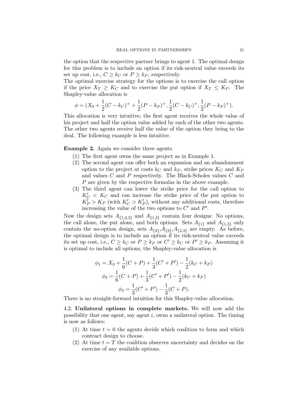the option that the respective partner brings to agent 1. The optimal design for this problem is to include an option if its risk-neutral value exceeds its set up cost, i.e.,  $C \geq k_C$  or  $P \geq k_P$ , respectively.

The optimal exercise strategy for the options is to exercise the call option if the price  $X_T \geq K_C$  and to exercise the put option if  $X_T \leq K_P$ . The Shapley-value allocation is

$$
\phi = (X_0 + \frac{1}{2}(C - k_C)^{+} + \frac{1}{2}(P - k_P)^{+}, \frac{1}{2}(C - k_C)^{+}, \frac{1}{2}(P - k_P)^{+}).
$$

This allocation is very intuitive; the first agent receives the whole value of his project and half the option value added by each of the other two agents. The other two agents receive half the value of the option they bring to the deal. The following example is less intuitive.

## Example 2. Again we consider three agents.

- (1) The first agent owns the same project as in Example 1.
- (2) The second agent can offer both an expansion and an abandonment option to the project at costs  $k_C$  and  $k_P$ , strike prices  $K_C$  and  $K_P$ and values C and P respectively. The Black-Scholes values C and P are given by the respective formulas in the above example.
- (3) The third agent can lower the strike price for the call option to  $K_C'$  <  $K_C$  and can increase the strike price of the put option to  $K_P$  >  $K_P$  (with  $K_C' > K_P'$ ), without any additional costs, therefore increasing the value of the two options to  $C'$  and  $P'$ .

Now the design sets  $A_{\{1,2,3\}}$  and  $A_{\{1,2\}}$  contain four designs: No options, the call alone, the put alone, and both options. Sets  $A_{\{1\}}$  and  $A_{\{1,3\}}$  only contain the no-option design, sets  $A_{\{2\}}$ ,  $A_{\{3\}}$ ,  $A_{\{2,3\}}$  are empty. As before, the optimal design is to include an option if its risk-neutral value exceeds its set up cost, i.e.,  $C \geq k_C$  or  $P \geq k_P$  or  $C' \geq k_C$  or  $P' \geq k_P$ . Assuming it is optimal to include all options, the Shapley-value allocation is

$$
\phi_1 = X_0 + \frac{1}{6}(C+P) + \frac{1}{3}(C'+P') - \frac{1}{2}(k_C + k_P)
$$
  

$$
\phi_2 = \frac{1}{6}(C+P) + \frac{1}{3}(C'+P') - \frac{1}{2}(k_C + k_P)
$$
  

$$
\phi_3 = \frac{1}{3}(C'+P') - \frac{1}{3}(C+P).
$$

There is no straight-forward intuition for this Shapley-value allocation.

4.2. Unilateral options in complete markets. We will now add the possibility that one agent, say agent  $i$ , owns a unilateral option. The timing is now as follows:

- (1) At time  $t = 0$  the agents decide which coalition to form and which contract design to choose.
- (2) At time  $t = T$  the coalition observes uncertainty and decides on the exercise of any available options.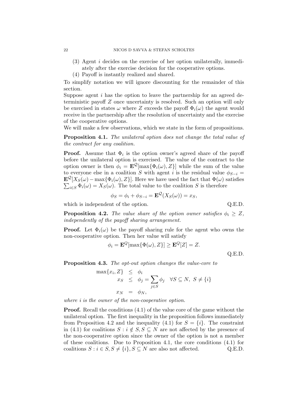- (3) Agent i decides on the exercise of her option unilaterally, immediately after the exercise decision for the cooperative options.
- (4) Payoff is instantly realized and shared.

To simplify notation we will ignore discounting for the remainder of this section.

Suppose agent  $i$  has the option to leave the partnership for an agreed deterministic payoff Z once uncertainty is resolved. Such an option will only be exercised in states  $\omega$  where Z exceeds the payoff  $\Phi_i(\omega)$  the agent would receive in the partnership after the resolution of uncertainty and the exercise of the cooperative options.

We will make a few observations, which we state in the form of propositions.

Proposition 4.1. The unilateral option does not change the total value of the contract for any coalition.

**Proof.** Assume that  $\Phi_i$  is the option owner's agreed share of the payoff before the unilateral option is exercised. The value of the contract to the option owner is then  $\phi_i = \mathbf{E}^{\mathcal{Q}}[\max{\Phi_i(\omega), Z}]$  while the sum of the value to everyone else in a coalition S with agent i is the residual value  $\phi_{S-i} =$  $\mathbf{E}^{\mathcal{Q}}[X_{S}(\omega)-\max\{\Phi_{i}(\omega),Z\}].$  Here we have used the fact that  $\Phi(\omega)$  satisfies  $\sum_{i\in S} \Phi_i(\omega) = X_S(\omega)$ . The total value to the coalition S is therefore

$$
\phi_S = \phi_i + \phi_{S-i} = \mathbf{E}^{\mathcal{Q}}(X_S(\omega)) = x_S,
$$

which is independent of the option.  $Q.E.D.$ 

**Proposition 4.2.** The value share of the option owner satisfies  $\phi_i \geq Z$ , independently of the payoff sharing arrangement.

**Proof.** Let  $\Phi_i(\omega)$  be the payoff sharing rule for the agent who owns the non-cooperative option. Then her value will satisfy

$$
\phi_i = \mathbf{E}^Q[\max{\Phi(\omega), Z}] \ge \mathbf{E}^Q[Z] = Z.
$$

Q.E.D.

Proposition 4.3. The opt-out option changes the value-core to

$$
\max\{x_i, Z\} \leq \phi_i
$$
  

$$
x_S \leq \phi_j = \sum_{j \in S} \phi_j \quad \forall S \subseteq N, S \neq \{i\}
$$
  

$$
x_N = \phi_N,
$$

where *i* is the owner of the non-cooperative option.

Proof. Recall the conditions (4.1) of the value core of the game without the unilateral option. The first inequality in the proposition follows immediately from Proposition 4.2 and the inequality (4.1) for  $S = \{i\}$ . The constraint in (4.1) for coalitions  $S : i \notin S, S \subseteq N$  are not affected by the presence of the non-cooperative option since the owner of the option is not a member of these coalitions. Due to Proposition 4.1, the core conditions (4.1) for coalitions  $S : i \in S, S \neq \{i\}, S \subseteq N$  are also not affected. Q.E.D.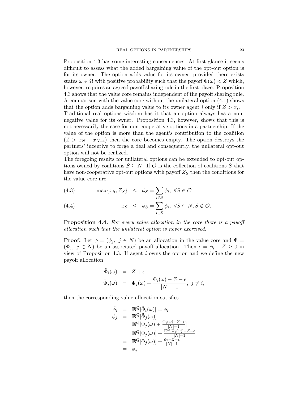Proposition 4.3 has some interesting consequences. At first glance it seems difficult to assess what the added bargaining value of the opt-out option is for its owner. The option adds value for its owner, provided there exists states  $\omega \in \Omega$  with positive probability such that the payoff  $\Phi(\omega) < Z$  which, however, requires an agreed payoff sharing rule in the first place. Proposition 4.3 shows that the value core remains independent of the payoff sharing rule. A comparison with the value core without the unilateral option (4.1) shows that the option adds bargaining value to its owner agent i only if  $Z > x_i$ . Traditional real options wisdom has it that an option always has a nonnegative value for its owner. Proposition 4.3, however, shows that this is not necessarily the case for non-cooperative options in a partnership. If the value of the option is more than the agent's contribution to the coalition  $(Z > x_N - x_{N-i})$  then the core becomes empty. The option destroys the partners' incentive to forge a deal and consequently, the unilateral opt-out option will not be realized.

The foregoing results for unilateral options can be extended to opt-out options owned by coalitions  $S \subseteq N$ . If  $\mathcal O$  is the collection of coalitions S that have non-cooperative opt-out options with payoff  $Z<sub>S</sub>$  then the conditions for the value core are

(4.3) 
$$
\max\{x_S, Z_S\} \le \phi_S = \sum_{i \in S} \phi_i, \ \forall S \in \mathcal{O}
$$

(4.4) 
$$
x_S \leq \phi_S = \sum_{i \in S} \phi_i, \ \forall S \subseteq N, S \notin \mathcal{O}.
$$

**Proposition 4.4.** For every value allocation in the core there is a payoff allocation such that the unilateral option is never exercised.

**Proof.** Let  $\phi = (\phi_j, j \in N)$  be an allocation in the value core and  $\Phi =$  $(\Phi_j, j \in N)$  be an associated payoff allocation. Then  $\epsilon = \phi_i - Z \geq 0$  in view of Proposition 4.3. If agent i owns the option and we define the new payoff allocation

$$
\begin{array}{rcl}\n\tilde{\Phi}_i(\omega) & = & Z + \epsilon \\
\tilde{\Phi}_j(\omega) & = & \Phi_j(\omega) + \frac{\Phi_i(\omega) - Z - \epsilon}{|N| - 1}, \ j \neq i,\n\end{array}
$$

then the corresponding value allocation satisfies

$$
\begin{array}{rcl}\n\tilde{\phi}_i &=& \mathbf{E}^{\mathcal{Q}}[\tilde{\Phi}_i(\omega)] = \phi_i \\
\tilde{\phi}_j &=& \mathbf{E}^{\mathcal{Q}}[\tilde{\Phi}_j(\omega)] \\
&=& \mathbf{E}^Q[\Phi_j(\omega) + \frac{\Phi_i(\omega) - Z - \epsilon}{|N|-1}] \\
&=& \mathbf{E}^Q[\Phi_j(\omega)] + \frac{\mathbf{E}^Q[\Phi_i(\omega)] - Z - \epsilon}{|N|-1} \\
&=& \mathbf{E}^Q[\Phi_j(\omega)] + \frac{\phi_i - Z - \epsilon}{|N|-1} \\
&=& \phi_j.\n\end{array}
$$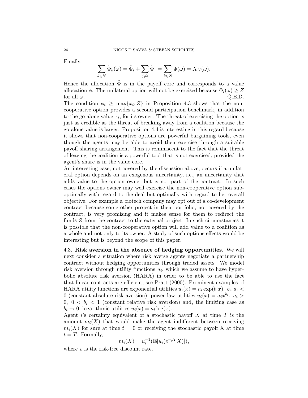Finally,

$$
\sum_{k \in N} \tilde{\Phi}_k(\omega) = \tilde{\Phi}_i + \sum_{j \neq i} \tilde{\Phi}_j = \sum_{k \in N} \Phi(\omega) = X_N(\omega).
$$

Hence the allocation  $\Phi$  is in the payoff core and corresponds to a value allocation  $\phi$ . The unilateral option will not be exercised because  $\tilde{\Phi}_i(\omega) \geq Z$ for all  $\omega$ . Q.E.D.

The condition  $\phi_i \geq \max\{x_i, Z\}$  in Proposition 4.3 shows that the noncooperative option provides a second participation benchmark, in addition to the go-alone value  $x_i$ , for its owner. The threat of exercising the option is just as credible as the threat of breaking away from a coalition because the go-alone value is larger. Proposition 4.4 is interesting in this regard because it shows that non-cooperative options are powerful bargaining tools, even though the agents may be able to avoid their exercise through a suitable payoff sharing arrangement. This is reminiscent to the fact that the threat of leaving the coalition is a powerful tool that is not exercised, provided the agent's share is in the value core.

An interesting case, not covered by the discussion above, occurs if a unilateral option depends on an exogenous uncertainty, i.e., an uncertainty that adds value to the option owner but is not part of the contract. In such cases the options owner may well exercise the non-cooperative option suboptimally with regard to the deal but optimally with regard to her overall objective. For example a biotech company may opt out of a co-development contract because some other project in their portfolio, not covered by the contract, is very promising and it makes sense for them to redirect the funds Z from the contract to the external project. In such circumstances it is possible that the non-cooperative option will add value to a coalition as a whole and not only to its owner. A study of such options effects would be interesting but is beyond the scope of this paper.

4.3. Risk aversion in the absence of hedging opportunities. We will next consider a situation where risk averse agents negotiate a partnership contract without hedging opportunities through traded assets. We model risk aversion through utility functions  $u_i$ , which we assume to have hyperbolic absolute risk aversion (HARA) in order to be able to use the fact that linear contracts are efficient, see Pratt (2000). Prominent examples of HARA utility functions are exponential utilities  $u_i(x) = a_i \exp(b_i x)$ ,  $b_i, a_i <$ 0 (constant absolute risk aversion), power law utilities  $u_i(x) = a_i x^{b_i}$ ,  $a_i >$ 0,  $0 < b_i < 1$  (constant relative risk aversion) and, the limiting case as  $b_i \rightarrow 0$ , logarithmic utilities  $u_i(x) = a_i \log(x)$ .

Agent i's certainty equivalent of a stochastic payoff  $X$  at time  $T$  is the amount  $m_i(X)$  that would make the agent indifferent between receiving  $m_i(X)$  for sure at time  $t = 0$  or receiving the stochastic payoff X at time  $t = T$ . Formally,

$$
m_i(X) = u_i^{-1}(\mathbf{E}[u_i(e^{-\rho T}X)]),
$$

where  $\rho$  is the risk-free discount rate.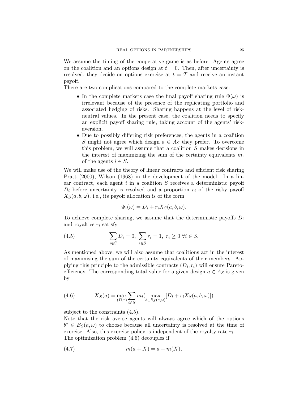We assume the timing of the cooperative game is as before: Agents agree on the coalition and an options design at  $t = 0$ . Then, after uncertainty is resolved, they decide on options exercise at  $t = T$  and receive an instant payoff.

There are two complications compared to the complete markets case:

- In the complete markets case the final payoff sharing rule  $\Phi(\omega)$  is irrelevant because of the presence of the replicating portfolio and associated hedging of risks. Sharing happens at the level of riskneutral values. In the present case, the coalition needs to specify an explicit payoff sharing rule, taking account of the agents' riskaversion.
- Due to possibly differing risk preferences, the agents in a coalition S might not agree which design  $a \in A_S$  they prefer. To overcome this problem, we will assume that a coalition S makes decisions in the interest of maximizing the sum of the certainty equivalents  $m_i$ of the agents  $i \in S$ .

We will make use of the theory of linear contracts and efficient risk sharing Pratt (2000), Wilson (1968) in the development of the model. In a linear contract, each agent  $i$  in a coalition  $S$  receives a deterministic payoff  $D_i$  before uncertainty is resolved and a proportion  $r_i$  of the risky payoff  $X_S(a, b, \omega)$ , i.e., its payoff allocation is of the form

$$
\Phi_i(\omega) = D_i + r_i X_S(a, b, \omega).
$$

To achieve complete sharing, we assume that the deterministic payoffs  $D_i$ and royalties  $r_i$  satisfy

(4.5) 
$$
\sum_{i \in S} D_i = 0, \ \sum_{i \in S} r_i = 1, \ r_i \ge 0 \ \forall i \in S.
$$

As mentioned above, we will also assume that coalitions act in the interest of maximising the sum of the certainty equivalents of their members. Applying this principle to the admissible contracts  $(D_i, r_i)$  will ensure Paretoefficiency. The corresponding total value for a given design  $a \in A_S$  is given by

(4.6) 
$$
\overline{X}_S(a) = \max_{(D,r)} \sum_{i \in S} m_i \left( \max_{b \in B_S(a,\omega)} [D_i + r_i X_S(a,b,\omega)] \right)
$$

subject to the constraints (4.5).

Note that the risk averse agents will always agree which of the options  $b^* \in B_S(a,\omega)$  to choose because all uncertainty is resolved at the time of exercise. Also, this exercise policy is independent of the royalty rate  $r_i$ . The optimization problem (4.6) decouples if

(4.7) 
$$
m(a+X) = a + m(X),
$$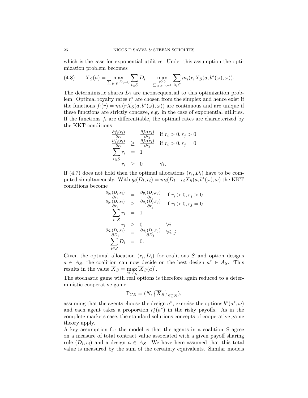which is the case for exponential utilities. Under this assumption the optimization problem becomes

(4.8) 
$$
\overline{X}_S(a) = \max_{\sum_{i \in S} D_i = 0} \sum_{i \in S} D_i + \max_{\substack{r \ge 0 \\ \sum_{i \in S} r_i = 1}} \sum_{i \in S} m_i (r_i X_S(a, b^*(\omega), \omega)).
$$

The deterministic shares  $D_i$  are inconsequential to this optimization problem. Optimal royalty rates  $r_i^*$  are chosen from the simplex and hence exist if the functions  $f_i(r) = m_i(rX_S(a, b^*(\omega), \omega))$  are continuous and are unique if these functions are strictly concave, e.g. in the case of exponential utilities. If the functions  $f_i$  are differentiable, the optimal rates are characterized by the KKT conditions

$$
\frac{\partial f_i(r_i)}{\partial r_i} = \frac{\partial f_j(r_j)}{\partial r_j} \quad \text{if } r_i > 0, r_j > 0
$$
\n
$$
\frac{\partial f_i(r_i)}{\partial r_i} \ge \frac{\partial f_j(r_j)}{\partial r_j} \quad \text{if } r_i > 0, r_j = 0
$$
\n
$$
\sum_{i \in S} r_i = 1
$$
\n
$$
r_i \ge 0 \qquad \forall i.
$$

If (4.7) does not hold then the optimal allocations  $(r_i, D_i)$  have to be computed simultaneously. With  $g_i(D_i, r_i) = m_i(D_i + r_i X_S(a, b^*(\omega), \omega)$  the KKT conditions become

$$
\frac{\frac{\partial g_i(D_i, r_i)}{\partial r_i}}{\frac{\partial g_i(D_i, r_i)}{\partial r_i}} = \frac{\frac{\partial g_j(D_j, r_j)}{\partial r_j}}{\frac{\partial r_j}{\partial r_j}} \quad \text{if } r_i > 0, r_j > 0
$$
\n
$$
\frac{\frac{\partial g_i(D_i, r_i)}{\partial r_i}}{\sum_{i \in S} r_i} = 1
$$
\n
$$
\frac{\frac{\partial g_i(D_i, r_i)}{\partial D_i}}{\frac{\partial D_i}{\partial D_i}} = \frac{\frac{\partial g_j(D_j, r_j)}{\partial D_j}}{\frac{\partial D_j}{\partial D_j}} \quad \forall i, j
$$
\n
$$
\sum_{i \in S} D_i = 0.
$$

Given the optimal allocation  $(r_i, D_i)$  for coalitions S and option designs  $a \in A_S$ , the coalition can now decide on the best design  $a^* \in A_S$ . This results in the value  $X_S = \max[X_S(a)].$  $a{\in}A_{S}$ 

The stochastic game with real options is therefore again reduced to a deterministic cooperative game

$$
\Gamma_{CE} = (N, \{\overline{X}_S\}_{S \subseteq N}),
$$

assuming that the agents choose the design  $a^*$ , exercise the options  $b^*(a^*, \omega)$ and each agent takes a proportion  $r_i^*(a^*)$  in the risky payoffs. As in the complete markets case, the standard solutions concepts of cooperative game theory apply.

A key assumption for the model is that the agents in a coalition S agree on a measure of total contract value associated with a given payoff sharing rule  $(D_i, r_i)$  and a design  $a \in A_S$ . We have here assumed that this total value is measured by the sum of the certainty equivalents. Similar models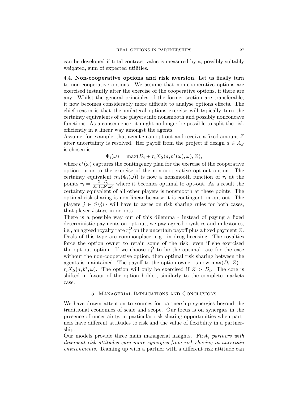can be developed if total contract value is measured by a, possibly suitably weighted, sum of expected utilities.

4.4. Non-cooperative options and risk aversion. Let us finally turn to non-cooperative options. We assume that non-cooperative options are exercised instantly after the exercise of the cooperative options, if there are any. Whilst the general principles of the former section are transferable, it now becomes considerably more difficult to analyse options effects. The chief reason is that the unilateral options exercise will typically turn the certainty equivalents of the players into nonsmooth and possibly nonconcave functions. As a consequence, it might no longer be possible to split the risk efficiently in a linear way amongst the agents.

Assume, for example, that agent i can opt out and receive a fixed amount Z after uncertainty is resolved. Her payoff from the project if design  $a \in A_S$ is chosen is

$$
\Phi_i(\omega) = \max(D_i + r_i X_S(a, b^*(\omega), \omega), Z),
$$

where  $b^*(\omega)$  captures the contingency plan for the exercise of the cooperative option, prior to the exercise of the non-cooperative opt-out option. The certainty equivalent  $m_i(\Phi_i(\omega))$  is now a nonsmooth function of  $r_i$  at the points  $r_i = \frac{Z-D_i}{X_S(a,b^*,\omega)}$  where it becomes optimal to opt-out. As a result the certainty equivalent of all other players is nonsmooth at these points. The optimal risk-sharing is non-linear because it is contingent on opt-out. The players  $j \in S \setminus \{i\}$  will have to agree on risk sharing rules for both cases, that player i stays in or opts.

There is a possible way out of this dilemma - instead of paying a fixed deterministic payments on opt-out, we pay agreed royalties and milestones, i.e., an agreed royalty rate  $r_i^O$  on the uncertain payoff plus a fixed payment Z. Deals of this type are commonplace, e.g., in drug licensing. The royalties force the option owner to retain some of the risk, even if she exercised the opt-out option. If we choose  $r_i^O$  to be the optimal rate for the case without the non-cooperative option, then optimal risk sharing between the agents is maintained. The payoff to the option owner is now  $\max(D_i, Z)$  +  $r_i X_S(a, b^*, \omega)$ . The option will only be exercised if  $Z > D_i$ . The core is shifted in favour of the option holder, similarly to the complete markets case.

### 5. Managerial Implications and Conclusions

We have drawn attention to sources for partnership synergies beyond the traditional economies of scale and scope. Our focus is on synergies in the presence of uncertainty, in particular risk sharing opportunities when partners have different attitudes to risk and the value of flexibility in a partnership.

Our models provide three main managerial insights. First, partners with divergent risk attitudes gain more synergies from risk sharing in uncertain environments. Teaming up with a partner with a different risk attitude can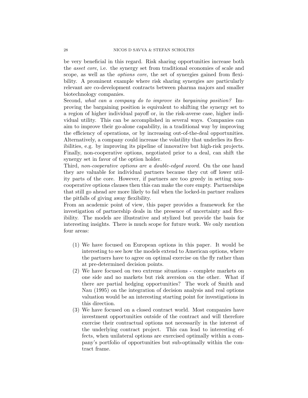be very beneficial in this regard. Risk sharing opportunities increase both the asset core, i.e. the synergy set from traditional economies of scale and scope, as well as the options core, the set of synergies gained from flexibility. A prominent example where risk sharing synergies are particularly relevant are co-development contracts between pharma majors and smaller biotechnology companies.

Second, what can a company do to improve its bargaining position? Improving the bargaining position is equivalent to shifting the synergy set to a region of higher individual payoff or, in the risk-averse case, higher individual utility. This can be accomplished in several ways. Companies can aim to improve their go-alone capability, in a traditional way by improving the efficiency of operations, or by increasing out-of-the-deal opportunities. Alternatively, a company could increase the volatility that underlies its flexibilities, e.g. by improving its pipeline of innovative but high-risk projects. Finally, non-cooperative options, negotiated prior to a deal, can shift the synergy set in favor of the option holder.

Third, non-cooperative options are a double-edged sword. On the one hand they are valuable for individual partners because they cut off lower utility parts of the core. However, if partners are too greedy in setting noncooperative options clauses then this can make the core empty. Partnerships that still go ahead are more likely to fail when the locked-in partner realizes the pitfalls of giving away flexibility.

From an academic point of view, this paper provides a framework for the investigation of partnership deals in the presence of uncertainty and flexibility. The models are illustrative and stylized but provide the basis for interesting insights. There is much scope for future work. We only mention four areas:

- (1) We have focused on European options in this paper. It would be interesting to see how the models extend to American options, where the partners have to agree on optimal exercise on the fly rather than at pre-determined decision points.
- (2) We have focused on two extreme situations complete markets on one side and no markets but risk aversion on the other. What if there are partial hedging opportunities? The work of Smith and Nau (1995) on the integration of decision analysis and real options valuation would be an interesting starting point for investigations in this direction.
- (3) We have focused on a closed contract world. Most companies have investment opportunities outside of the contract and will therefore exercise their contractual options not necessarily in the interest of the underlying contract project. This can lead to interesting effects, when unilateral options are exercised optimally within a company's portfolio of opportunities but sub-optimally within the contract frame.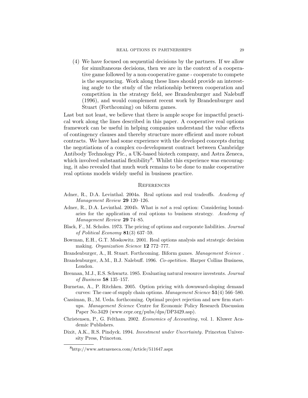(4) We have focused on sequential decisions by the partners. If we allow for simultaneous decisions, then we are in the context of a cooperative game followed by a non-cooperative game - cooperate to compete is the sequencing. Work along these lines should provide an interesting angle to the study of the relationship between cooperation and competition in the strategy field, see Brandenburger and Nalebuff (1996), and would complement recent work by Brandenburger and Stuart (Forthcoming) on biform games.

Last but not least, we believe that there is ample scope for impactful practical work along the lines described in this paper. A cooperative real options framework can be useful in helping companies understand the value effects of contingency clauses and thereby structure more efficient and more robust contracts. We have had some experience with the developed concepts during the negotiations of a complex co-development contract between Cambridge Antibody Technology Plc., a UK-based biotech company, and Astra Zeneca, which involved substantial flexibility<sup>8</sup>. Whilst this experience was encouraging, it also revealed that much work remains to be done to make cooperative real options models widely useful in business practice.

#### **REFERENCES**

- Adner, R., D.A. Levinthal. 2004a. Real options and real tradeoffs. Academy of Management Review 29 120–126.
- Adner, R., D.A. Levinthal. 2004b. What is not a real option: Considering boundaries for the application of real options to business strategy. Academy of Management Review 29 74–85.
- Black, F., M. Scholes. 1973. The pricing of options and corporate liabilities. Journal of Political Economy  $81(3)$  637–59.
- Bowman, E.H., G.T. Moskowitz. 2001. Real options analysis and strategic decision making. Organization Science 12 772–777.
- Brandenburger, A., H. Stuart. Forthcoming. Biform games. Management Science .
- Brandenburger, A.M., B.J. Nalebuff. 1996. Co-opetition. Harper Collins Business, London.
- Brennan, M.J., E.S. Schwartz. 1985. Evaluating natural resource investents. Journal of Business 58 135–157.
- Burnetas, A., P. Ritchken. 2005. Option pricing with downward-sloping demand curves: The case of supply chain options. Management Science 51(4) 566–580.
- Cassiman, B., M. Ueda. forthcoming. Optimal project rejection and new firm startups. Management Science Centre for Economic Policy Research Discussion Paper No.3429 (www.cepr.org/pubs/dps/DP3429.asp).
- Christensen, P., G. Feltham. 2002. Economics of Accounting, vol. 1. Kluwer Academic Publishers.
- Dixit, A.K., R.S. Pindyck. 1994. Investment under Uncertainty. Princeton University Press, Princeton.

<sup>8</sup>http://www.astrazeneca.com/Article/511647.aspx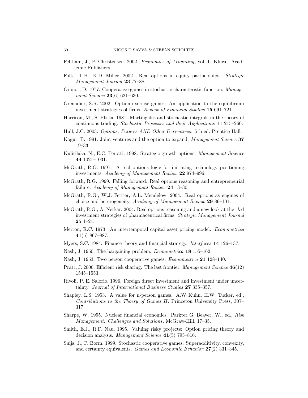- Feltham, J., P. Christensen. 2002. Economics of Acounting, vol. 1. Kluwer Academic Publishers.
- Folta, T.B., K.D. Miller. 2002. Real options in equity partnerships. Strategic Management Journal 23 77–88.
- Granot, D. 1977. Cooperative games in stochastic characteristic function. Management Science **23**(6) 621–630.
- Grenadier, S.R. 2002. Option exercise games: An application to the equilibrium investment strategies of firms. Review of Financial Studies 15 691–721.
- Harrison, M., S. Pliska. 1981. Martingales and stochastic integrals in the theory of continuous trading. Stochastic Processes and their Applications 11 215–260.
- Hull, J.C. 2003. Options, Futures AND Other Derivatives. 5th ed. Prentice Hall.
- Kogut, B. 1991. Joint ventures and the option to expand. Management Science 37 19–33.
- Kulitilaka, N., E.C. Perotti. 1998. Strategic growth options. *Management Science* 44 1021–1031.
- McGrath, R.G. 1997. A real options logic for initiating technology positioning investments. Academy of Management Review 22 974–996.
- McGrath, R.G. 1999. Falling forward: Real options reasoning and entrepreneurial failure. Academy of Management Review 24 13–30.
- McGrath, R.G., W.J. Ferrier, A.L. Mendelow. 2004. Real options as engines of choice and heterogeneity. Academy of Management Review 29 86–101.
- McGrath, R.G., A. Nerkar. 2004. Real options reasoning and a new look at the r&d investment strategies of pharmaceutical firms. Strategic Management Journal  $25 \text{ } 1 - 21.$
- Merton, R.C. 1973. An intertemporal capital asset pricing model. Econometrica 41(5) 867–887.
- Myers, S.C. 1984. Finance theory and financial strategy. Interfaces 14 126–137.
- Nash, J. 1950. The bargaining problem. Econometrica 18 155–162.
- Nash, J. 1953. Two person cooperative games. Econometrica 21 128–140.
- Pratt, J. 2000. Efficient risk sharing: The last frontier. Management Science 46(12) 1545–1553.
- Rivoli, P, E. Salorio. 1996. Foreign direct investment and investment under uncertainty. Journal of International Business Studies 27 335–357.
- Shapley, L.S. 1953. A value for n-person games. A.W Kuhn, H.W. Tucker, ed., Contributions to the Thoery of Games II. Princeton University Press, 307– 317.
- Sharpe, W. 1995. Nuclear financial economics. Parkter G. Beaver, W., ed., Risk Management: Challenges and Solutions. McGraw-Hill, 17–35.
- Smith, E.J., R.F. Nau. 1995. Valuing risky projects: Option pricing theory and decision analysis. Management Science 41(5) 795–816.
- Suijs, J., P. Borm. 1999. Stochastic cooperative games: Superadditivity, convexity, and certainty equivalents. Games and Economic Behavior 27(2) 331–345.